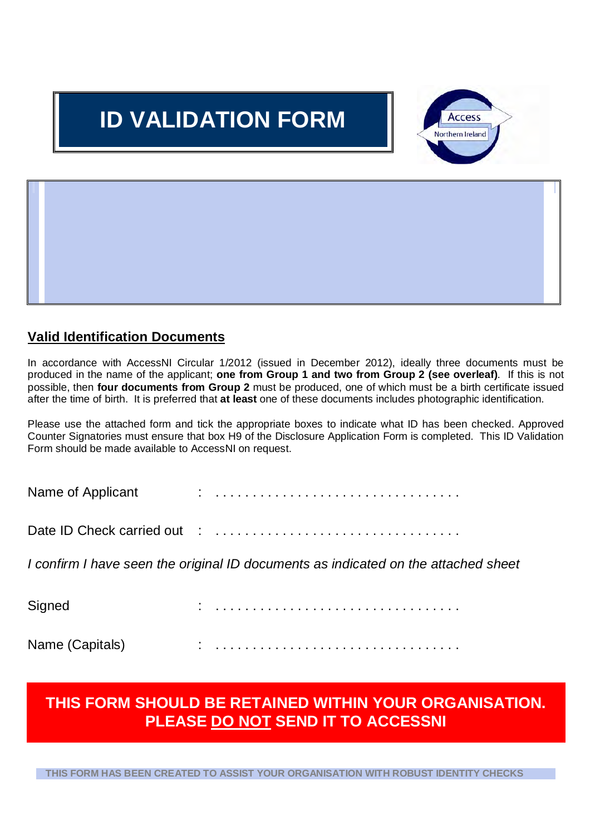# **ID VALIDATION FORM**



## **It is standard good recruitment practice for employers to satisfy themselves as to the identity of those applying for positions. Although AccessNI may in some cases conduct its own checks to confirm identity, there is no substitute for thorough identity checks by employers. Larger Registered Bodies that delegate responsibility for ID checking, or Umbrella Bodies who are assisting smaller organisations through the checking process, should ensure documentary evidence is validated, and that they indicate on the Disclosure Application Form (Part H), the checks have been made. Employers should seek to comply with the Guidance below.**

## **Valid Identification Documents**

 In accordance with AccessNI Circular 1/2012 (issued in December 2012), ideally three documents must be produced in the name of the applicant; **one from Group 1 and two from Group 2 (see overleaf)**. If this is not possible, then **four documents from Group 2** must be produced, one of which must be a birth certificate issued after the time of birth. It is preferred that **at least** one of these documents includes photographic identification.

 Please use the attached form and tick the appropriate boxes to indicate what ID has been checked. Approved Counter Signatories must ensure that box H9 of the Disclosure Application Form is completed. This ID Validation Form should be made available to AccessNI on request.

| Name of Applicant |  |  |  |  |  |  |  |  |  |  |  |  |  |  |  |  |
|-------------------|--|--|--|--|--|--|--|--|--|--|--|--|--|--|--|--|
|                   |  |  |  |  |  |  |  |  |  |  |  |  |  |  |  |  |

I confirm I have seen the original ID documents as indicated on the attached sheet

| Signed          | $\mathbf{r}$ |  |  |  |  |  |  |  |  |  |  |  |  |  |  |  |  |  |  |  |  |  |
|-----------------|--------------|--|--|--|--|--|--|--|--|--|--|--|--|--|--|--|--|--|--|--|--|--|
| Name (Capitals) |              |  |  |  |  |  |  |  |  |  |  |  |  |  |  |  |  |  |  |  |  |  |

# **THIS FORM SHOULD BE RETAINED WITHIN YOUR ORGANISATION. PLEASE DO NOT SEND IT TO ACCESSNI**

 **THIS FORM HAS BEEN CREATED TO ASSIST YOUR ORGANISATION WITH ROBUST IDENTITY CHECKS**